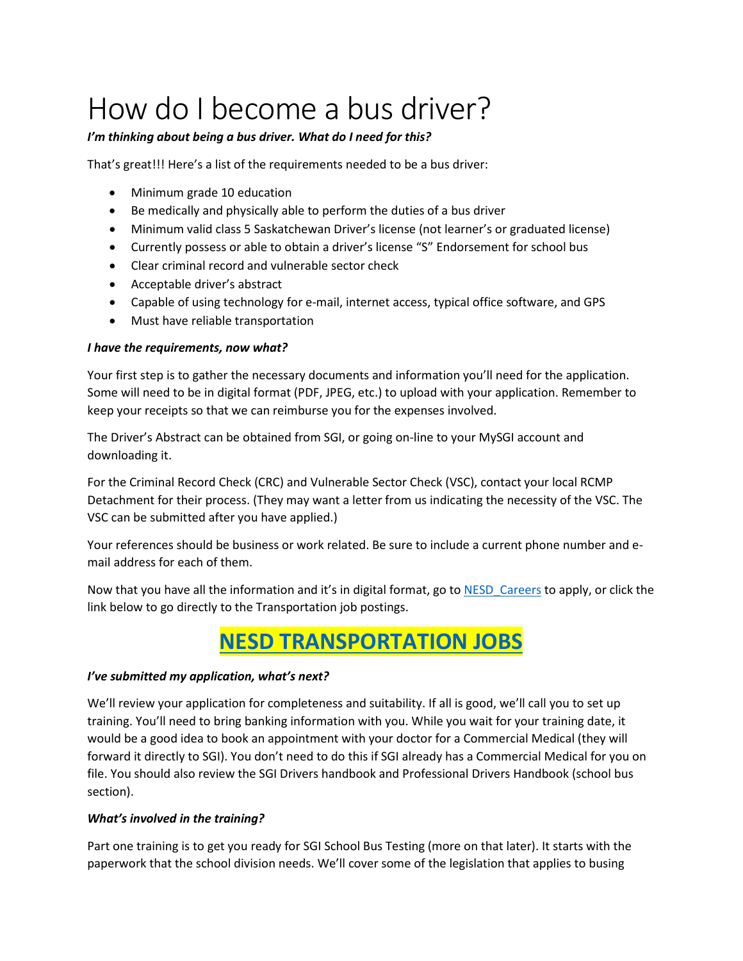# How do I become a bus driver?

#### *I'm thinking about being a bus driver. What do I need for this?*

That's great!!! Here's a list of the requirements needed to be a bus driver:

- Minimum grade 10 education
- Be medically and physically able to perform the duties of a bus driver
- Minimum valid class 5 Saskatchewan Driver's license (not learner's or graduated license)
- Currently possess or able to obtain a driver's license "S" Endorsement for school bus
- Clear criminal record and vulnerable sector check
- Acceptable driver's abstract
- Capable of using technology for e-mail, internet access, typical office software, and GPS
- Must have reliable transportation

#### *I have the requirements, now what?*

Your first step is to gather the necessary documents and information you'll need for the application. Some will need to be in digital format (PDF, JPEG, etc.) to upload with your application. Remember to keep your receipts so that we can reimburse you for the expenses involved.

The Driver's Abstract can be obtained from SGI, or going on-line to your MySGI account and downloading it.

For the Criminal Record Check (CRC) and Vulnerable Sector Check (VSC), contact your local RCMP Detachment for their process. (They may want a letter from us indicating the necessity of the VSC. The VSC can be submitted after you have applied.)

Your references should be business or work related. Be sure to include a current phone number and email address for each of them.

Now that you have all the information and it's in digital format, go to [NESD\\_Careers](https://www.applitrack.com/nesd/onlineapp/default.aspx?Category=Transportation) to apply, or click the link below to go directly to the Transportation job postings.

## **[NESD TRANSPORTATION JOBS](https://www.applitrack.com/nesd/onlineapp/default.aspx?Category=Transportation)**

#### *I've submitted my application, what's next?*

We'll review your application for completeness and suitability. If all is good, we'll call you to set up training. You'll need to bring banking information with you. While you wait for your training date, it would be a good idea to book an appointment with your doctor for a Commercial Medical (they will forward it directly to SGI). You don't need to do this if SGI already has a Commercial Medical for you on file. You should also review the SGI Drivers handbook and Professional Drivers Handbook (school bus section).

#### *What's involved in the training?*

Part one training is to get you ready for SGI School Bus Testing (more on that later). It starts with the paperwork that the school division needs. We'll cover some of the legislation that applies to busing